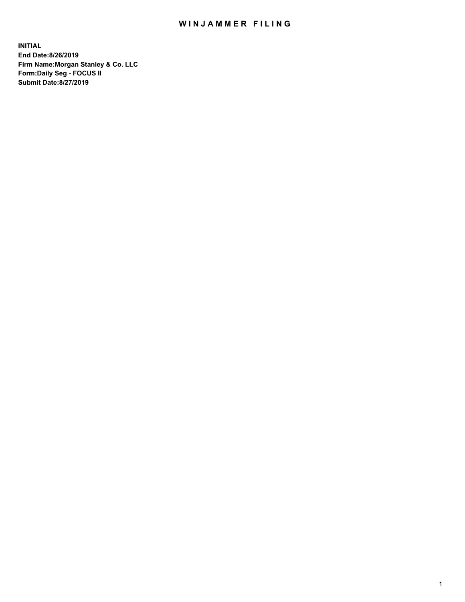## WIN JAMMER FILING

**INITIAL End Date:8/26/2019 Firm Name:Morgan Stanley & Co. LLC Form:Daily Seg - FOCUS II Submit Date:8/27/2019**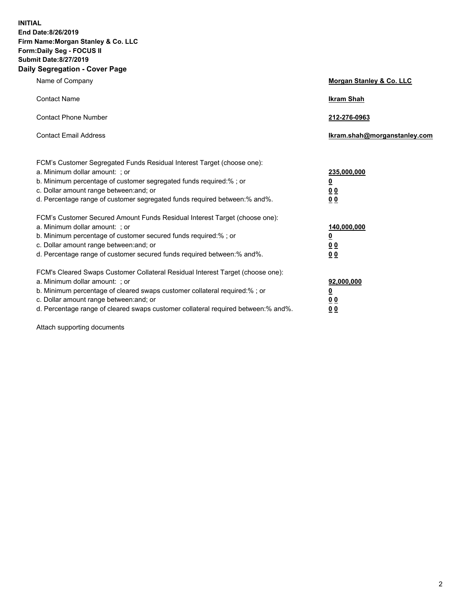**INITIAL End Date:8/26/2019 Firm Name:Morgan Stanley & Co. LLC Form:Daily Seg - FOCUS II Submit Date:8/27/2019 Daily Segregation - Cover Page**

| Name of Company                                                                                                                                                                                                                                                                                                                | Morgan Stanley & Co. LLC                                    |
|--------------------------------------------------------------------------------------------------------------------------------------------------------------------------------------------------------------------------------------------------------------------------------------------------------------------------------|-------------------------------------------------------------|
| <b>Contact Name</b>                                                                                                                                                                                                                                                                                                            | <b>Ikram Shah</b>                                           |
| <b>Contact Phone Number</b>                                                                                                                                                                                                                                                                                                    | 212-276-0963                                                |
| <b>Contact Email Address</b>                                                                                                                                                                                                                                                                                                   | Ikram.shah@morganstanley.com                                |
| FCM's Customer Segregated Funds Residual Interest Target (choose one):<br>a. Minimum dollar amount: ; or<br>b. Minimum percentage of customer segregated funds required:% ; or<br>c. Dollar amount range between: and; or<br>d. Percentage range of customer segregated funds required between:% and%.                         | 235,000,000<br><u>0</u><br>0 <sub>0</sub><br>0 <sub>0</sub> |
| FCM's Customer Secured Amount Funds Residual Interest Target (choose one):<br>a. Minimum dollar amount: ; or<br>b. Minimum percentage of customer secured funds required:%; or<br>c. Dollar amount range between: and; or<br>d. Percentage range of customer secured funds required between:% and%.                            | 140,000,000<br><u>0</u><br>0 <sub>0</sub><br>0 <sub>0</sub> |
| FCM's Cleared Swaps Customer Collateral Residual Interest Target (choose one):<br>a. Minimum dollar amount: ; or<br>b. Minimum percentage of cleared swaps customer collateral required:% ; or<br>c. Dollar amount range between: and; or<br>d. Percentage range of cleared swaps customer collateral required between:% and%. | 92,000,000<br><u>0</u><br><u>00</u><br>0 <sub>0</sub>       |

Attach supporting documents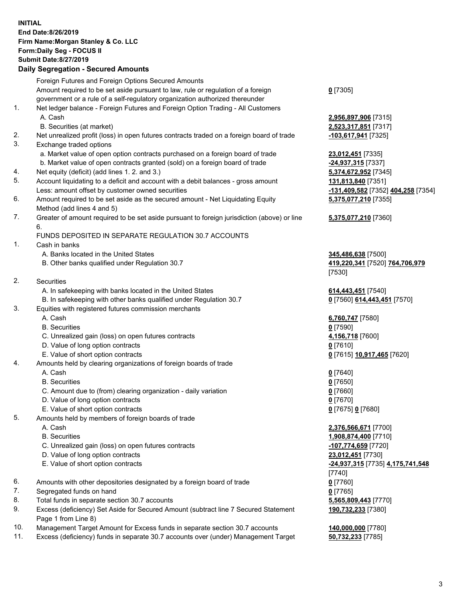## **INITIAL End Date:8/26/2019 Firm Name:Morgan Stanley & Co. LLC Form:Daily Seg - FOCUS II Submit Date:8/27/2019 Daily Segregation - Secured Amounts**

|                | Foreign Futures and Foreign Options Secured Amounts                                         |                                            |
|----------------|---------------------------------------------------------------------------------------------|--------------------------------------------|
|                | Amount required to be set aside pursuant to law, rule or regulation of a foreign            | $0$ [7305]                                 |
|                | government or a rule of a self-regulatory organization authorized thereunder                |                                            |
| 1.             | Net ledger balance - Foreign Futures and Foreign Option Trading - All Customers             |                                            |
|                | A. Cash                                                                                     | 2,956,897,906 [7315]                       |
|                | B. Securities (at market)                                                                   | 2,523,317,851 [7317]                       |
| 2.             | Net unrealized profit (loss) in open futures contracts traded on a foreign board of trade   | -103,617,941 [7325]                        |
| 3.             | Exchange traded options                                                                     |                                            |
|                | a. Market value of open option contracts purchased on a foreign board of trade              | 23,012,451 [7335]                          |
|                | b. Market value of open contracts granted (sold) on a foreign board of trade                | $-24,937,315$ [7337]                       |
| 4.             | Net equity (deficit) (add lines 1.2. and 3.)                                                | 5,374,672,952 [7345]                       |
| 5.             | Account liquidating to a deficit and account with a debit balances - gross amount           | 131,813,840 [7351]                         |
|                | Less: amount offset by customer owned securities                                            | -131,409,582 [7352]                        |
| 6.             | Amount required to be set aside as the secured amount - Net Liquidating Equity              | 5,375,077,210 [7355]                       |
|                | Method (add lines 4 and 5)                                                                  |                                            |
| 7.             | Greater of amount required to be set aside pursuant to foreign jurisdiction (above) or line | 5,375,077,210 [7360]                       |
|                | 6.                                                                                          |                                            |
|                | FUNDS DEPOSITED IN SEPARATE REGULATION 30.7 ACCOUNTS                                        |                                            |
| 1.             | Cash in banks                                                                               |                                            |
|                | A. Banks located in the United States                                                       | 345,486,638 [7500]                         |
|                | B. Other banks qualified under Regulation 30.7                                              | 419,220,341 [7520] 7                       |
| 2.             | Securities                                                                                  | [7530]                                     |
|                | A. In safekeeping with banks located in the United States                                   |                                            |
|                | B. In safekeeping with other banks qualified under Regulation 30.7                          | 614,443,451 [7540]<br>0 [7560] 614,443,451 |
| 3.             | Equities with registered futures commission merchants                                       |                                            |
|                | A. Cash                                                                                     | 6,760,747 [7580]                           |
|                | <b>B.</b> Securities                                                                        | $0$ [7590]                                 |
|                | C. Unrealized gain (loss) on open futures contracts                                         | 4,156,718 [7600]                           |
|                | D. Value of long option contracts                                                           | $0$ [7610]                                 |
|                | E. Value of short option contracts                                                          | <u>0</u> [7615] <u>10,917,465</u> [        |
| 4.             | Amounts held by clearing organizations of foreign boards of trade                           |                                            |
|                | A. Cash                                                                                     | $0$ [7640]                                 |
|                | <b>B.</b> Securities                                                                        | $0$ [7650]                                 |
|                | C. Amount due to (from) clearing organization - daily variation                             | $0$ [7660]                                 |
|                | D. Value of long option contracts                                                           | $0$ [7670]                                 |
|                | E. Value of short option contracts                                                          | 0 [7675] 0 [7680]                          |
| 5.             | Amounts held by members of foreign boards of trade                                          |                                            |
|                | A. Cash                                                                                     | 2,376,566,671 [7700]                       |
|                | <b>B.</b> Securities                                                                        | 1,908,874,400 [7710]                       |
|                | C. Unrealized gain (loss) on open futures contracts                                         | -107,774,659 [7720]                        |
|                | D. Value of long option contracts                                                           | 23,012,451 [7730]                          |
|                | E. Value of short option contracts                                                          | <u>-24,937,315</u> [7735] <u>4,</u>        |
|                |                                                                                             | [7740]                                     |
| 6.             | Amounts with other depositories designated by a foreign board of trade                      | $0$ [7760]                                 |
| 7.             | Segregated funds on hand                                                                    | $0$ [7765]                                 |
| 8.             | Total funds in separate section 30.7 accounts                                               | 5,565,809,443 [7770]                       |
| 9.             | Excess (deficiency) Set Aside for Secured Amount (subtract line 7 Secured Statement         | 190,732,233 [7380]                         |
|                | Page 1 from Line 8)                                                                         |                                            |
| $\overline{A}$ |                                                                                             | $\sim$ $\sim$ $\sim$ $\sim$ $\sim$ $\sim$  |

- 10. Management Target Amount for Excess funds in separate section 30.7 accounts **140,000,000** [7780]
- 11. Excess (deficiency) funds in separate 30.7 accounts over (under) Management Target **50,732,233** [7785]

a. 12,451 [7335] **937,315** [7337] **4,672,952** [7345] 5. B<sub>13,840</sub> [7351] **Lessing of the orient of the orient of the orient of the securities in the set of the set of the set of the set of the set of the set of the set of the set of the set of the set of the set of the set of the set of the set 5,375,077,210** [7355] **5,375,077,210** [7360] A86,638 [7500] B. Other banks qualified under Regulation 30.7 **419,220,341** [7520] **764,706,979** [7530]

A43,451 [7540]  $560$ ] **614,443,451** [7570]

 A. Cash **6,760,747** [7580] 6,718 [7600] E. Value of short option contracts **0** [7615] **10,917,465** [7620]

 A. Cash **2,376,566,671** [7700] **18,874,400** [7710] C. Unrealized gain (loss) on open futures contracts **-107,774,659** [7720] 012,451 [7730] E. Value of short option contracts **-24,937,315** [7735] **4,175,741,548**  $[0]$ 85,809,443 [7770] **190,732,233** [7380]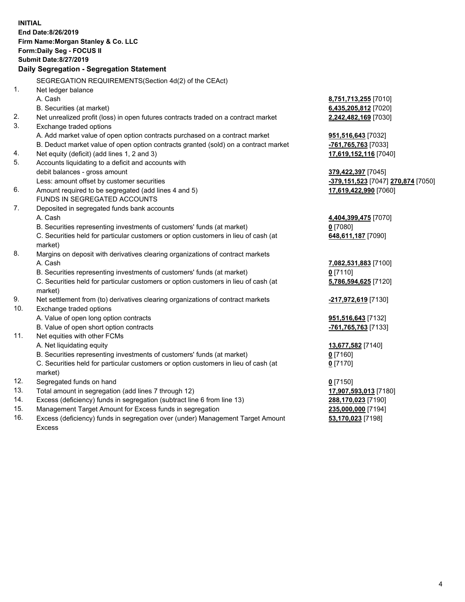|     | <b>INITIAL</b><br>End Date:8/26/2019<br>Firm Name: Morgan Stanley & Co. LLC<br>Form: Daily Seg - FOCUS II<br><b>Submit Date: 8/27/2019</b><br>Daily Segregation - Segregation Statement |                                                 |
|-----|-----------------------------------------------------------------------------------------------------------------------------------------------------------------------------------------|-------------------------------------------------|
|     | SEGREGATION REQUIREMENTS(Section 4d(2) of the CEAct)                                                                                                                                    |                                                 |
| 1.  | Net ledger balance                                                                                                                                                                      |                                                 |
|     | A. Cash                                                                                                                                                                                 | 8,751,713,255 [7010]                            |
|     | B. Securities (at market)                                                                                                                                                               | 6,435,205,812 [7020]                            |
| 2.  | Net unrealized profit (loss) in open futures contracts traded on a contract market                                                                                                      | 2,242,482,169 [7030]                            |
| 3.  | Exchange traded options                                                                                                                                                                 |                                                 |
|     | A. Add market value of open option contracts purchased on a contract market                                                                                                             | 951,516,643 [7032]                              |
|     | B. Deduct market value of open option contracts granted (sold) on a contract market                                                                                                     | -761,765,763 [7033]                             |
| 4.  | Net equity (deficit) (add lines 1, 2 and 3)                                                                                                                                             | 17,619,152,116 [7040]                           |
| 5.  | Accounts liquidating to a deficit and accounts with                                                                                                                                     |                                                 |
|     | debit balances - gross amount                                                                                                                                                           | 379,422,397 [7045]                              |
|     | Less: amount offset by customer securities                                                                                                                                              | <mark>-379,151,523</mark> [7047] 270,874 [7050] |
| 6.  | Amount required to be segregated (add lines 4 and 5)                                                                                                                                    | 17,619,422,990 [7060]                           |
|     | FUNDS IN SEGREGATED ACCOUNTS                                                                                                                                                            |                                                 |
| 7.  | Deposited in segregated funds bank accounts                                                                                                                                             |                                                 |
|     | A. Cash                                                                                                                                                                                 | 4,404,399,475 [7070]                            |
|     | B. Securities representing investments of customers' funds (at market)                                                                                                                  | $0$ [7080]                                      |
|     | C. Securities held for particular customers or option customers in lieu of cash (at                                                                                                     | 648,611,187 [7090]                              |
|     | market)                                                                                                                                                                                 |                                                 |
| 8.  | Margins on deposit with derivatives clearing organizations of contract markets                                                                                                          |                                                 |
|     | A. Cash                                                                                                                                                                                 | 7,082,531,883 [7100]                            |
|     | B. Securities representing investments of customers' funds (at market)                                                                                                                  | $0$ [7110]                                      |
|     | C. Securities held for particular customers or option customers in lieu of cash (at<br>market)                                                                                          | 5,786,594,625 [7120]                            |
| 9.  | Net settlement from (to) derivatives clearing organizations of contract markets                                                                                                         | -217,972,619 [7130]                             |
| 10. | Exchange traded options                                                                                                                                                                 |                                                 |
|     | A. Value of open long option contracts                                                                                                                                                  | 951,516,643 [7132]                              |
|     | B. Value of open short option contracts                                                                                                                                                 | -761,765,763 [7133]                             |
| 11. | Net equities with other FCMs                                                                                                                                                            |                                                 |
|     | A. Net liquidating equity                                                                                                                                                               | 13,677,582 [7140]                               |
|     | B. Securities representing investments of customers' funds (at market)                                                                                                                  | $0$ [7160]                                      |
|     | C. Securities held for particular customers or option customers in lieu of cash (at<br>market)                                                                                          | $0$ [7170]                                      |
| 12. | Segregated funds on hand                                                                                                                                                                | $0$ [7150]                                      |
| 13. | Total amount in segregation (add lines 7 through 12)                                                                                                                                    | 17,907,593,013 [7180]                           |
| 14. | Excess (deficiency) funds in segregation (subtract line 6 from line 13)                                                                                                                 | 288,170,023 [7190]                              |
| 15. | Management Target Amount for Excess funds in segregation                                                                                                                                | 235,000,000 [7194]                              |
| 16. | Excess (deficiency) funds in segregation over (under) Management Target Amount                                                                                                          | 53,170,023 [7198]                               |

16. Excess (deficiency) funds in segregation over (under) Management Target Amount Excess